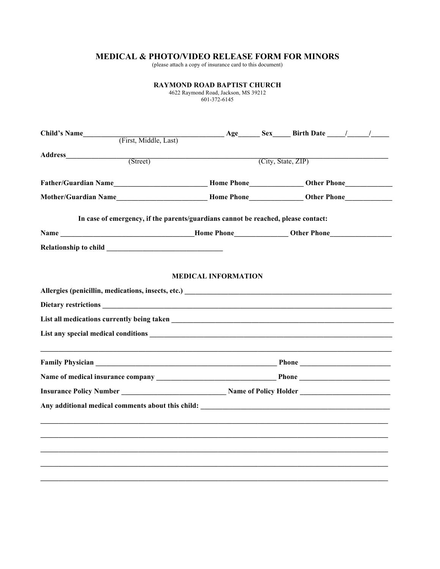## **MEDICAL & PHOTO/VIDEO RELEASE FORM FOR MINORS**

(please attach a copy of insurance card to this document)

|                                                                                                                                                          | <b>RAYMOND ROAD BAPTIST CHURCH</b><br>4622 Raymond Road, Jackson, MS 39212<br>601-372-6145 |  |  |  |  |
|----------------------------------------------------------------------------------------------------------------------------------------------------------|--------------------------------------------------------------------------------------------|--|--|--|--|
| Child's Name $\qquad \qquad \text{First, Middle, Last)}$ $\qquad \qquad \text{Age} \qquad \text{Sex} \qquad \text{Birth Date} \qquad \qquad \text{Just}$ |                                                                                            |  |  |  |  |
|                                                                                                                                                          |                                                                                            |  |  |  |  |
|                                                                                                                                                          |                                                                                            |  |  |  |  |
|                                                                                                                                                          |                                                                                            |  |  |  |  |
|                                                                                                                                                          |                                                                                            |  |  |  |  |
|                                                                                                                                                          | In case of emergency, if the parents/guardians cannot be reached, please contact:          |  |  |  |  |
| Name __________________________________Home Phone_____________Other Phone___________________________                                                     |                                                                                            |  |  |  |  |
|                                                                                                                                                          |                                                                                            |  |  |  |  |
|                                                                                                                                                          |                                                                                            |  |  |  |  |
|                                                                                                                                                          |                                                                                            |  |  |  |  |
|                                                                                                                                                          |                                                                                            |  |  |  |  |
|                                                                                                                                                          |                                                                                            |  |  |  |  |
| Any additional medical comments about this child:                                                                                                        |                                                                                            |  |  |  |  |
|                                                                                                                                                          |                                                                                            |  |  |  |  |
|                                                                                                                                                          |                                                                                            |  |  |  |  |
|                                                                                                                                                          |                                                                                            |  |  |  |  |
|                                                                                                                                                          |                                                                                            |  |  |  |  |
|                                                                                                                                                          |                                                                                            |  |  |  |  |